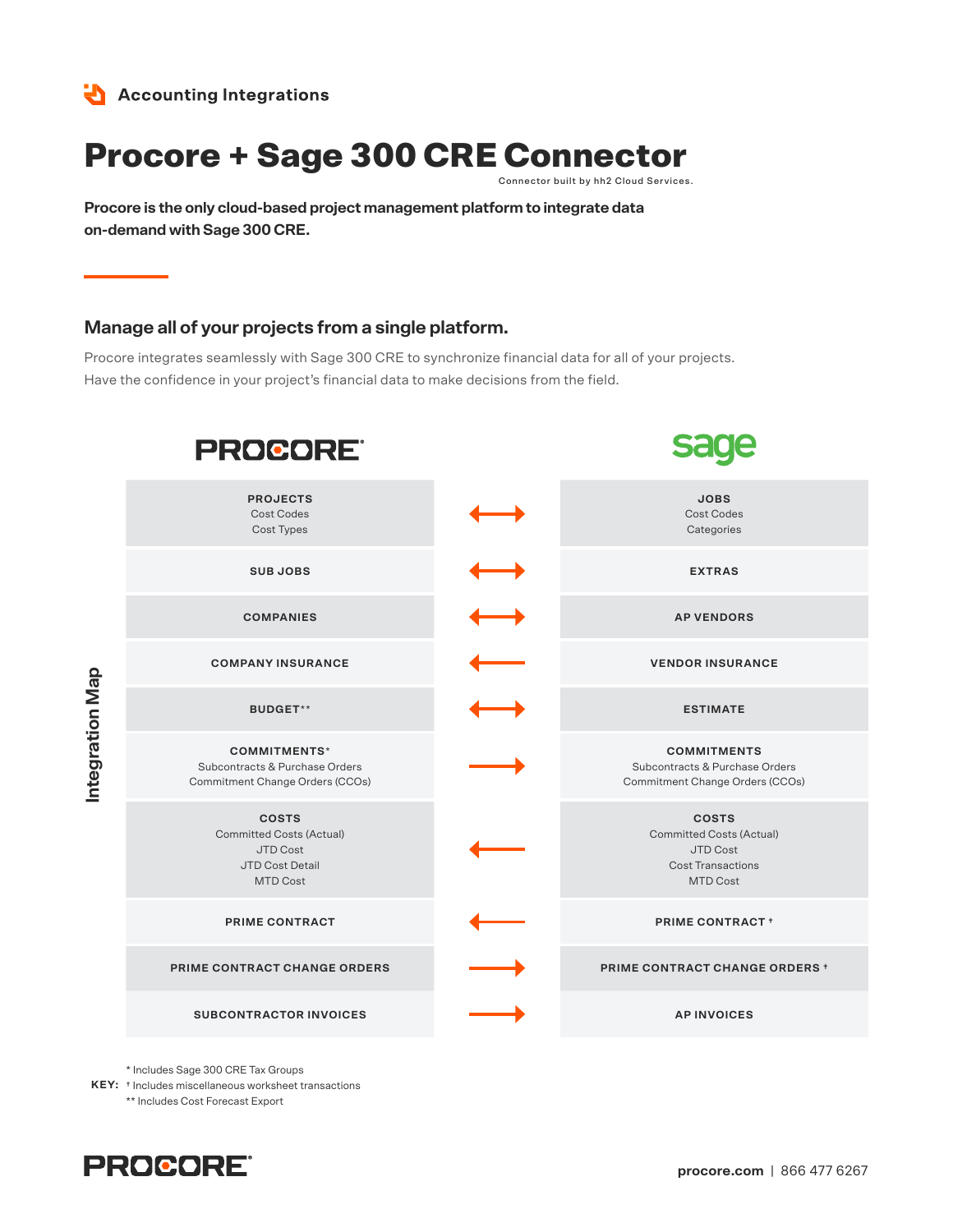

# Procore + Sage 300 CRE Connector

Connector built by hh2 Cloud Services.

**Procore is the only cloud-based project management platform to integrate data on-demand with Sage 300 CRE.**

### **Manage all of your projects from a single platform.**

Procore integrates seamlessly with Sage 300 CRE to synchronize financial data for all of your projects. Have the confidence in your project's financial data to make decisions from the field.

| <b>PROCORE®</b>                                                                                          |                                                                                                            |
|----------------------------------------------------------------------------------------------------------|------------------------------------------------------------------------------------------------------------|
| <b>PROJECTS</b><br><b>Cost Codes</b><br>Cost Types                                                       | <b>JOBS</b><br><b>Cost Codes</b><br>Categories                                                             |
| <b>SUBJOBS</b>                                                                                           | <b>EXTRAS</b>                                                                                              |
| <b>COMPANIES</b>                                                                                         | <b>AP VENDORS</b>                                                                                          |
| <b>COMPANY INSURANCE</b>                                                                                 | <b>VENDOR INSURANCE</b>                                                                                    |
| <b>BUDGET**</b>                                                                                          | <b>ESTIMATE</b>                                                                                            |
| <b>COMMITMENTS*</b><br>Subcontracts & Purchase Orders<br>Commitment Change Orders (CCOs)                 | <b>COMMITMENTS</b><br>Subcontracts & Purchase Orders<br>Commitment Change Orders (CCOs)                    |
| <b>COSTS</b><br><b>Committed Costs (Actual)</b><br><b>JTD Cost</b><br>JTD Cost Detail<br><b>MTD Cost</b> | <b>COSTS</b><br><b>Committed Costs (Actual)</b><br>JTD Cost<br><b>Cost Transactions</b><br><b>MTD Cost</b> |
| PRIME CONTRACT                                                                                           | <b>PRIME CONTRACT +</b>                                                                                    |
| PRIME CONTRACT CHANGE ORDERS                                                                             | <b>PRIME CONTRACT CHANGE ORDERS +</b>                                                                      |
| <b>SUBCONTRACTOR INVOICES</b>                                                                            | <b>AP INVOICES</b>                                                                                         |

\* Includes Sage 300 CRE Tax Groups

**KEY:** † Includes miscellaneous worksheet transactions \*\* Includes Cost Forecast Export



**Integration Map**

Integration Map